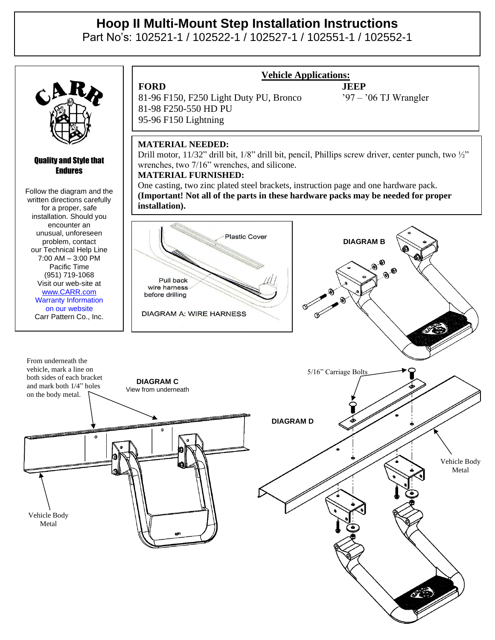# **Hoop II Multi-Mount Step Installation Instructions**

Part No's: 102521-1 / 102522-1 / 102527-1 / 102551-1 / 102552-1



## Quality and Style that Endures

Follow the diagram and the written directions carefully for a proper, safe installation. Should you encounter an unusual, unforeseen problem, contact our Technical Help Line 7:00 AM – 3:00 PM Pacific Time (951) 719-1068 Visit our web-site at [www.CARR.com](http://www.carr.com/) Warranty Information on our website Carr Pattern Co., Inc.

81-96 F150, F250 Light Duty PU, Bronco '97 – '06 TJ Wrangler 81-98 F250-550 HD PU 95-96 F150 Lightning

## **Vehicle Applications:**

**FORD JEEP**

## **MATERIAL NEEDED:**

Drill motor, 11/32" drill bit, 1/8" drill bit, pencil, Phillips screw driver, center punch, two 1/2" wrenches, two 7/16" wrenches, and silicone.

## **MATERIAL FURNISHED:**

One casting, two zinc plated steel brackets, instruction page and one hardware pack. **(Important! Not all of the parts in these hardware packs may be needed for proper installation).**